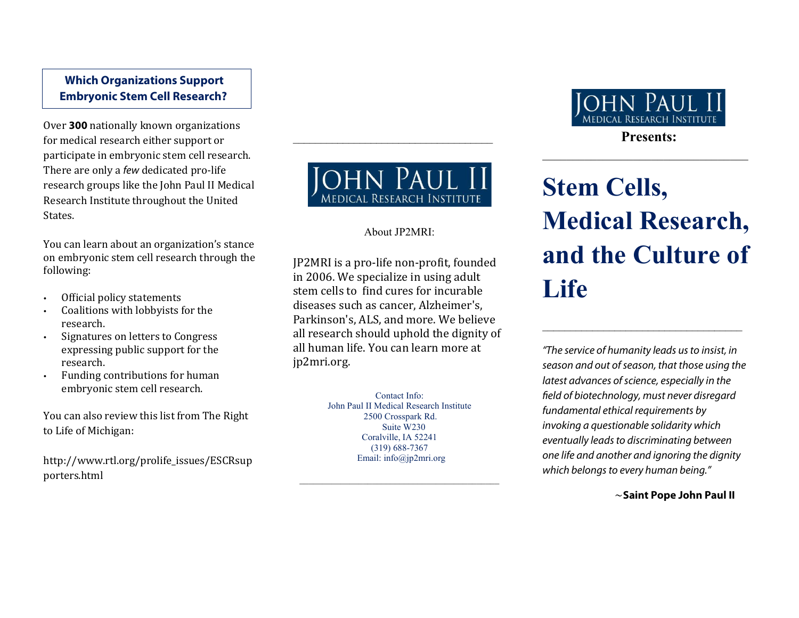# **Which Organizations Support Embryonic Stem Cell Research?**

Over **300** nationally known organizations for medical research either support or participate in embryonic stem cell research. There are only a *few* dedicated pro-life research groups like the John Paul II Medical Research Institute throughout the United States.

You can learn about an organization's stance on embryonic stem cell research through the following:

- Official policy statements
- Coalitions with lobbyists for the research.
- Signatures on letters to Congress expressing public support for the research.
- Funding contributions for human embryonic stem cell research.

You can also review this list from The Right to Life of Michigan:

http://www.rtl.org/prolife\_issues/ESCRsup porters.html



 $\overline{\phantom{a}}$  , where  $\overline{\phantom{a}}$  , where  $\overline{\phantom{a}}$  , where  $\overline{\phantom{a}}$ 

## About JP2MRI:

JP2MRI is a pro-life non-pro�it, founded in 2006. We specialize in using adult stem cells to find cures for incurable diseases such as cancer, Alzheimer's, Parkinson's, ALS, and more. We believe all research should uphold the dignity of all human life. You can learn more at jp2mri.org.

> Contact Info: John Paul II Medical Research Institute 2500 Crosspark Rd. Suite W230 Coralville, IA 52241 (319) 688-7367 Email: info@jp2mri.org

\_\_\_\_\_\_\_\_\_\_\_\_\_\_\_\_\_\_\_\_\_\_\_\_\_\_\_\_\_\_\_\_\_\_\_\_\_\_\_\_\_\_\_\_



 $\mathcal{L}_\mathcal{L}$  , where  $\mathcal{L}_\mathcal{L}$  , we have the set of the set of the set of the set of the set of the set of the set of the set of the set of the set of the set of the set of the set of the set of the set of the set

# **Stem Cells, Medical Research, and the Culture of Life**

*"The service of humanity leads usto insist, in season and out ofseason, that those using the latest advances of science, especially in the eld of biotechnology, must never disregard fundamental ethical requirements by invoking a questionable solidarity which eventually leadsto discriminating between one life and another and ignoring the dignity which belongsto every human being."*

\_\_\_\_\_\_\_\_\_\_\_\_\_\_\_\_\_\_\_\_\_\_\_\_\_\_\_\_\_\_\_\_\_\_\_\_

~**Saint Pope John Paul II**